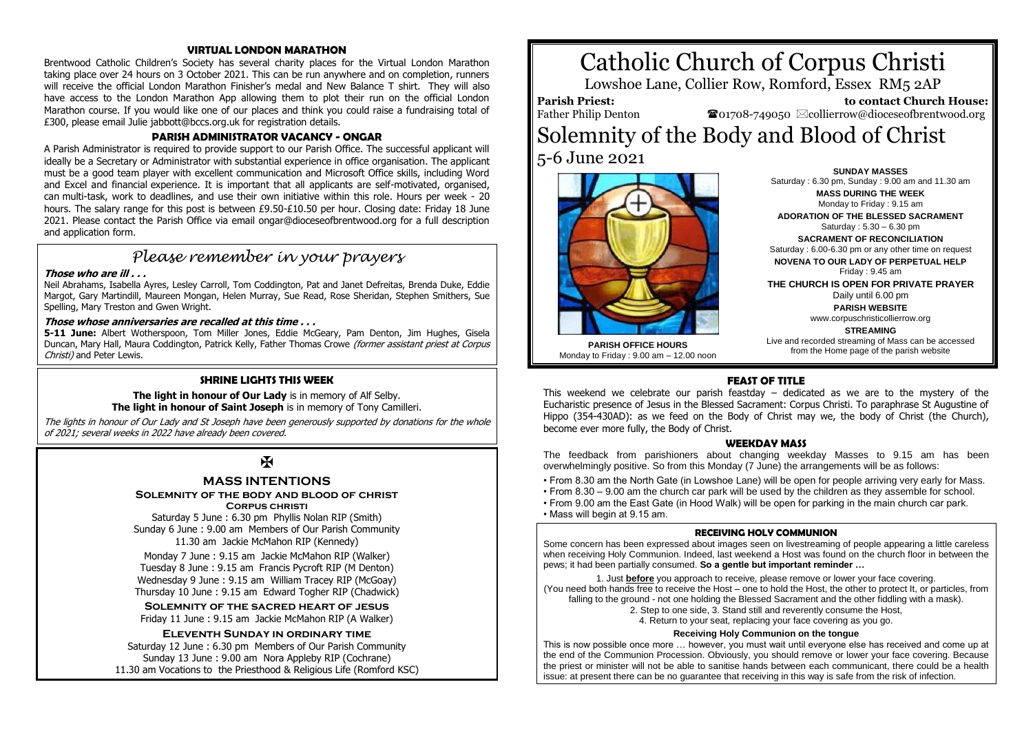## **VIRTUAL LONDON MARATHON**

Brentwood Catholic Children's Society has several charity places for the Virtual London Marathon taking place over 24 hours on 3 October 2021. This can be run anywhere and on completion, runners will receive the official London Marathon Finisher's medal and New Balance T shirt. They will also have access to the London Marathon App allowing them to plot their run on the official London Marathon course. If you would like one of our places and think you could raise a fundraising total of £300, please email Julie jabbott@bccs.org.uk for registration details.

## **PARISH ADMINISTRATOR VACANCY - ONGAR**

A Parish Administrator is required to provide support to our Parish Office. The successful applicant will ideally be a Secretary or Administrator with substantial experience in office organisation. The applicant must be a good team player with excellent communication and Microsoft Office skills, including Word and Excel and financial experience. It is important that all applicants are self-motivated, organised, can multi-task, work to deadlines, and use their own initiative within this role. Hours per week - 20 hours. The salary range for this post is between £9.50-£10.50 per hour. Closing date: Friday 18 June 2021. Please contact the Parish Office via email ongar@dioceseofbrentwood.org for a full description and application form.

# *Please remember in your prayers*

## **Those who are ill . . .**

Neil Abrahams, Isabella Ayres, Lesley Carroll, Tom Coddington, Pat and Janet Defreitas, Brenda Duke, Eddie Margot, Gary Martindill, Maureen Mongan, Helen Murray, Sue Read, Rose Sheridan, Stephen Smithers, Sue Spelling, Mary Treston and Gwen Wright.

## **Those whose anniversaries are recalled at this time . . .**

**5-11 June:** Albert Wotherspoon, Tom Miller Jones, Eddie McGeary, Pam Denton, Jim Hughes, Gisela Duncan, Mary Hall, Maura Coddington, Patrick Kelly, Father Thomas Crowe (former assistant priest at Corpus Christi) and Peter Lewis.

## **SHRINE LIGHTS THIS WEEK**

## **The light in honour of Our Lady** is in memory of Alf Selby. **The light in honour of Saint Joseph** is in memory of Tony Camilleri.

The lights in honour of Our Lady and St Joseph have been generously supported by donations for the whole of 2021; several weeks in 2022 have already been covered.

## $\mathbf K$

## **MASS INTENTIONS**

**Solemnity of the body and blood of christ**

**Corpus christi**

Saturday 5 June : 6.30 pm Phyllis Nolan RIP (Smith) Sunday 6 June : 9.00 am Members of Our Parish Community 11.30 am Jackie McMahon RIP (Kennedy)

Monday 7 June : 9.15 am Jackie McMahon RIP (Walker) Tuesday 8 June : 9.15 am Francis Pycroft RIP (M Denton) Wednesday 9 June : 9.15 am William Tracey RIP (McGoay) Thursday 10 June : 9.15 am Edward Togher RIP (Chadwick)

**Solemnity of the sacred heart of jesus** Friday 11 June : 9.15 am Jackie McMahon RIP (A Walker)

## **Eleventh Sunday in ordinary time**

Saturday 12 June : 6.30 pm Members of Our Parish Community Sunday 13 June : 9.00 am Nora Appleby RIP (Cochrane) 11.30 am Vocations to the Priesthood & Religious Life (Romford KSC)

# Catholic Church of Corpus Christi

Lowshoe Lane, Collier Row, Romford, Essex RM5 2AP

**Parish Priest:** Father Philip Denton

 **to contact Church House:**  $\bullet$ 01708-749050  $\boxtimes$ collierrow@dioceseofbrentwood.org

Solemnity of the Body and Blood of Christ 5-6 June 2021



Saturday : 6.30 pm, Sunday : 9.00 am and 11.30 am **MASS DURING THE WEEK** Monday to Friday : 9.15 am **ADORATION OF THE BLESSED SACRAMENT** Saturday : 5.30 – 6.30 pm **SACRAMENT OF RECONCILIATION** Saturday : 6.00-6.30 pm or any other time on request **NOVENA TO OUR LADY OF PERPETUAL HELP** Friday : 9.45 am **THE CHURCH IS OPEN FOR PRIVATE PRAYER** Daily until 6.00 pm **PARISH WEBSITE** www.corpuschristicollierrow.org **STREAMING**

Live and recorded streaming of Mass can be accessed from the Home page of the parish website

**SUNDAY MASSES**

**PARISH OFFICE HOURS** Monday to Friday : 9.00 am – 12.00 noon

## **FEAST OF TITLE**

This weekend we celebrate our parish feastday – dedicated as we are to the mystery of the Eucharistic presence of Jesus in the Blessed Sacrament: Corpus Christi. To paraphrase St Augustine of Hippo (354-430AD): as we feed on the Body of Christ may we, the body of Christ (the Church), become ever more fully, the Body of Christ.

## **WEEKDAY MASS**

The feedback from parishioners about changing weekday Masses to 9.15 am has been overwhelmingly positive. So from this Monday (7 June) the arrangements will be as follows:

- From 8.30 am the North Gate (in Lowshoe Lane) will be open for people arriving very early for Mass.
- From 8.30 9.00 am the church car park will be used by the children as they assemble for school.
- From 9.00 am the East Gate (in Hood Walk) will be open for parking in the main church car park.
- Mass will begin at 9.15 am.

## **RECEIVING HOLY COMMUNION**

Some concern has been expressed about images seen on livestreaming of people appearing a little careless when receiving Holy Communion. Indeed, last weekend a Host was found on the church floor in between the pews; it had been partially consumed. So a gentle but important reminder ...

1. Just **before** you approach to receive, please remove or lower your face covering. (You need both hands free to receive the Host – one to hold the Host, the other to protect It, or particles, from falling to the ground - not one holding the Blessed Sacrament and the other fiddling with a mask).

2. Step to one side, 3. Stand still and reverently consume the Host, 4. Return to your seat, replacing your face covering as you go.

## **Receiving Holy Communion on the tongue**

This is now possible once more … however, you must wait until everyone else has received and come up at the end of the Communion Procession. Obviously, you should remove or lower your face covering. Because the priest or minister will not be able to sanitise hands between each communicant, there could be a health issue: at present there can be no guarantee that receiving in this way is safe from the risk of infection.